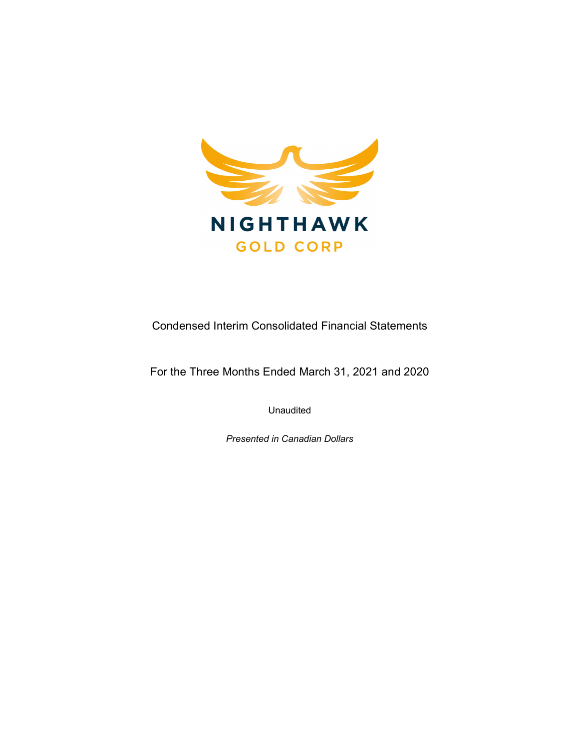

Condensed Interim Consolidated Financial Statements

For the Three Months Ended March 31, 2021 and 2020

Unaudited

Presented in Canadian Dollars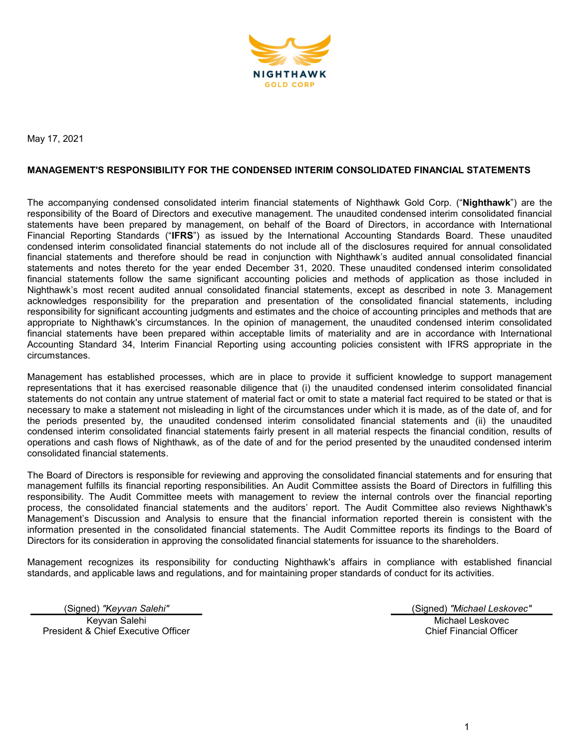

May 17, 2021

### MANAGEMENT'S RESPONSIBILITY FOR THE CONDENSED INTERIM CONSOLIDATED FINANCIAL STATEMENTS

The accompanying condensed consolidated interim financial statements of Nighthawk Gold Corp. ("Nighthawk") are the responsibility of the Board of Directors and executive management. The unaudited condensed interim consolidated financial statements have been prepared by management, on behalf of the Board of Directors, in accordance with International Financial Reporting Standards ("IFRS") as issued by the International Accounting Standards Board. These unaudited condensed interim consolidated financial statements do not include all of the disclosures required for annual consolidated financial statements and therefore should be read in conjunction with Nighthawk's audited annual consolidated financial statements and notes thereto for the year ended December 31, 2020. These unaudited condensed interim consolidated financial statements follow the same significant accounting policies and methods of application as those included in Nighthawk's most recent audited annual consolidated financial statements, except as described in note 3. Management acknowledges responsibility for the preparation and presentation of the consolidated financial statements, including responsibility for significant accounting judgments and estimates and the choice of accounting principles and methods that are appropriate to Nighthawk's circumstances. In the opinion of management, the unaudited condensed interim consolidated financial statements have been prepared within acceptable limits of materiality and are in accordance with International Accounting Standard 34, Interim Financial Reporting using accounting policies consistent with IFRS appropriate in the circumstances.

Management has established processes, which are in place to provide it sufficient knowledge to support management representations that it has exercised reasonable diligence that (i) the unaudited condensed interim consolidated financial statements do not contain any untrue statement of material fact or omit to state a material fact required to be stated or that is necessary to make a statement not misleading in light of the circumstances under which it is made, as of the date of, and for the periods presented by, the unaudited condensed interim consolidated financial statements and (ii) the unaudited condensed interim consolidated financial statements fairly present in all material respects the financial condition, results of operations and cash flows of Nighthawk, as of the date of and for the period presented by the unaudited condensed interim consolidated financial statements.

The Board of Directors is responsible for reviewing and approving the consolidated financial statements and for ensuring that management fulfills its financial reporting responsibilities. An Audit Committee assists the Board of Directors in fulfilling this responsibility. The Audit Committee meets with management to review the internal controls over the financial reporting process, the consolidated financial statements and the auditors' report. The Audit Committee also reviews Nighthawk's Management's Discussion and Analysis to ensure that the financial information reported therein is consistent with the information presented in the consolidated financial statements. The Audit Committee reports its findings to the Board of Directors for its consideration in approving the consolidated financial statements for issuance to the shareholders.

Management recognizes its responsibility for conducting Nighthawk's affairs in compliance with established financial standards, and applicable laws and regulations, and for maintaining proper standards of conduct for its activities.

(Signed) "Keyvan Salehi" (Signed) "Michael Leskovec" Keyvan Salehi President & Chief Executive Officer

Michael Leskovec Chief Financial Officer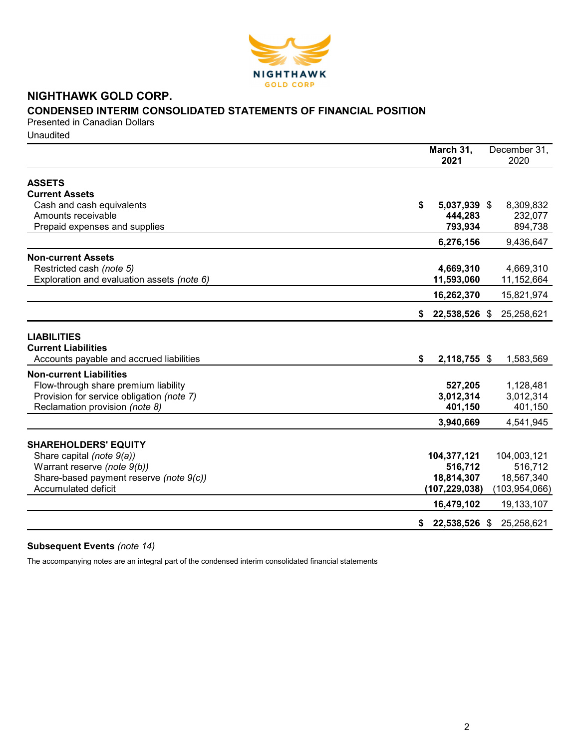

# NIGHTHAWK GOLD CORP. CONDENSED INTERIM CONSOLIDATED STATEMENTS OF FINANCIAL POSITION

Presented in Canadian Dollars **Unaudited** 

|                                            | March 31,           | December 31,    |
|--------------------------------------------|---------------------|-----------------|
|                                            | 2021                | 2020            |
| <b>ASSETS</b>                              |                     |                 |
| <b>Current Assets</b>                      |                     |                 |
|                                            | \$                  |                 |
| Cash and cash equivalents                  | 5,037,939 \$        | 8,309,832       |
| Amounts receivable                         | 444,283             | 232,077         |
| Prepaid expenses and supplies              | 793,934             | 894,738         |
|                                            | 6,276,156           | 9,436,647       |
| <b>Non-current Assets</b>                  |                     |                 |
| Restricted cash (note 5)                   | 4,669,310           | 4,669,310       |
| Exploration and evaluation assets (note 6) | 11,593,060          | 11,152,664      |
|                                            | 16,262,370          | 15,821,974      |
|                                            |                     |                 |
|                                            | 22,538,526 \$<br>S. | 25,258,621      |
|                                            |                     |                 |
| <b>LIABILITIES</b>                         |                     |                 |
| <b>Current Liabilities</b>                 |                     |                 |
| Accounts payable and accrued liabilities   | \$<br>2,118,755 \$  | 1,583,569       |
| <b>Non-current Liabilities</b>             |                     |                 |
| Flow-through share premium liability       | 527,205             | 1,128,481       |
| Provision for service obligation (note 7)  | 3,012,314           | 3,012,314       |
| Reclamation provision (note 8)             | 401,150             | 401,150         |
|                                            | 3,940,669           | 4,541,945       |
|                                            |                     |                 |
| <b>SHAREHOLDERS' EQUITY</b>                |                     |                 |
| Share capital (note 9(a))                  | 104,377,121         | 104,003,121     |
| Warrant reserve (note 9(b))                | 516,712             | 516,712         |
| Share-based payment reserve (note 9(c))    | 18,814,307          | 18,567,340      |
| <b>Accumulated deficit</b>                 | (107, 229, 038)     | (103, 954, 066) |
|                                            | 16,479,102          | 19,133,107      |
|                                            |                     |                 |
|                                            | 22,538,526 \$<br>S. | 25,258,621      |

# Subsequent Events (note 14)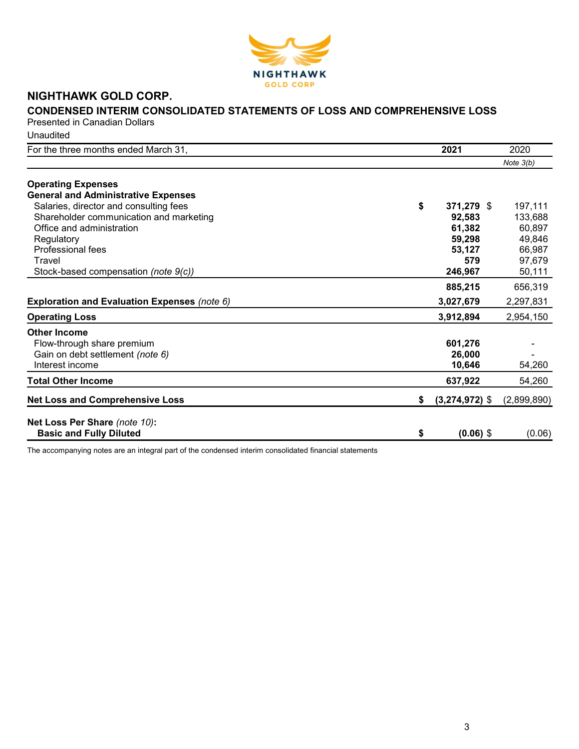

# NIGHTHAWK GOLD CORP.

# CONDENSED INTERIM CONSOLIDATED STATEMENTS OF LOSS AND COMPREHENSIVE LOSS

Presented in Canadian Dollars

**Unaudited** 

| For the three months ended March 31,         |    | 2021             | 2020        |
|----------------------------------------------|----|------------------|-------------|
|                                              |    |                  | Note $3(b)$ |
| <b>Operating Expenses</b>                    |    |                  |             |
| <b>General and Administrative Expenses</b>   |    |                  |             |
| Salaries, director and consulting fees       | \$ | 371,279 \$       | 197,111     |
| Shareholder communication and marketing      |    | 92,583           | 133,688     |
| Office and administration                    |    | 61,382           | 60,897      |
| Regulatory                                   |    | 59,298           | 49,846      |
| Professional fees                            |    | 53,127           | 66,987      |
| Travel                                       |    | 579              | 97,679      |
| Stock-based compensation (note 9(c))         |    | 246,967          | 50,111      |
|                                              |    | 885,215          | 656,319     |
| Exploration and Evaluation Expenses (note 6) |    | 3,027,679        | 2,297,831   |
| <b>Operating Loss</b>                        |    | 3,912,894        | 2,954,150   |
| <b>Other Income</b>                          |    |                  |             |
| Flow-through share premium                   |    | 601,276          |             |
| Gain on debt settlement (note 6)             |    | 26,000           |             |
| Interest income                              |    | 10,646           | 54,260      |
| <b>Total Other Income</b>                    |    | 637,922          | 54,260      |
| <b>Net Loss and Comprehensive Loss</b>       | S. | $(3,274,972)$ \$ | (2,899,890) |
|                                              |    |                  |             |
| Net Loss Per Share (note 10):                |    |                  |             |
| <b>Basic and Fully Diluted</b>               | \$ | $(0.06)$ \$      | (0.06)      |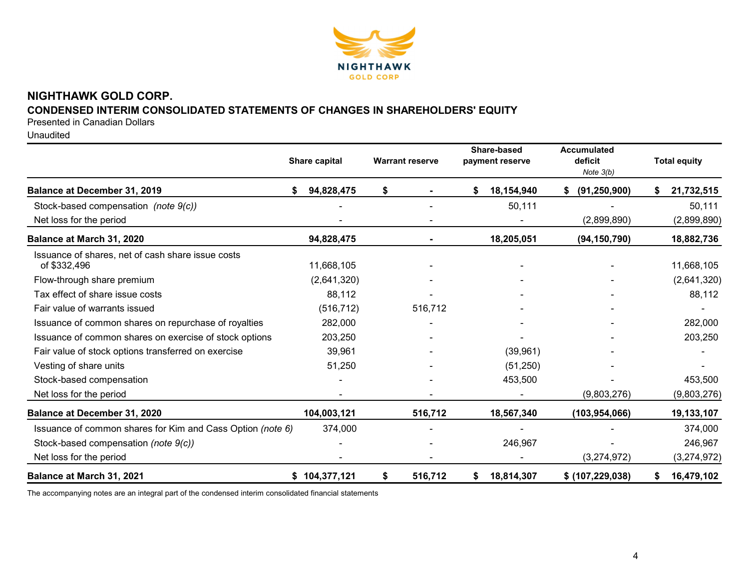

# NIGHTHAWK GOLD CORP. CONDENSED INTERIM CONSOLIDATED STATEMENTS OF CHANGES IN SHAREHOLDERS' EQUITY

Presented in Canadian Dollars

Unaudited

|                                                                   | Share capital | <b>Warrant reserve</b> | Share-based<br>payment reserve |            | <b>Accumulated</b><br>deficit<br>Note $3(b)$ | <b>Total equity</b> |
|-------------------------------------------------------------------|---------------|------------------------|--------------------------------|------------|----------------------------------------------|---------------------|
| Balance at December 31, 2019                                      | 94,828,475    | \$                     | \$                             | 18,154,940 | (91, 250, 900)                               | 21,732,515          |
| Stock-based compensation (note 9(c))                              |               |                        |                                | 50,111     |                                              | 50,111              |
| Net loss for the period                                           |               |                        |                                |            | (2,899,890)                                  | (2,899,890)         |
| Balance at March 31, 2020                                         | 94,828,475    |                        |                                | 18,205,051 | (94, 150, 790)                               | 18,882,736          |
| Issuance of shares, net of cash share issue costs<br>of \$332,496 | 11,668,105    |                        |                                |            |                                              | 11,668,105          |
| Flow-through share premium                                        | (2,641,320)   |                        |                                |            |                                              | (2,641,320)         |
| Tax effect of share issue costs                                   | 88,112        |                        |                                |            |                                              | 88,112              |
| Fair value of warrants issued                                     | (516, 712)    | 516,712                |                                |            |                                              |                     |
| Issuance of common shares on repurchase of royalties              | 282,000       |                        |                                |            |                                              | 282,000             |
| Issuance of common shares on exercise of stock options            | 203,250       |                        |                                |            |                                              | 203,250             |
| Fair value of stock options transferred on exercise               | 39,961        |                        |                                | (39,961)   |                                              |                     |
| Vesting of share units                                            | 51,250        |                        |                                | (51, 250)  |                                              |                     |
| Stock-based compensation                                          |               |                        |                                | 453,500    |                                              | 453,500             |
| Net loss for the period                                           |               |                        |                                |            | (9,803,276)                                  | (9,803,276)         |
| Balance at December 31, 2020                                      | 104,003,121   | 516,712                |                                | 18,567,340 | (103, 954, 066)                              | 19,133,107          |
| Issuance of common shares for Kim and Cass Option (note 6)        | 374,000       |                        |                                |            |                                              | 374,000             |
| Stock-based compensation (note 9(c))                              |               |                        |                                | 246,967    |                                              | 246,967             |
| Net loss for the period                                           |               |                        |                                |            | (3,274,972)                                  | (3,274,972)         |
| Balance at March 31, 2021                                         | \$104,377,121 | \$<br>516,712          | \$                             | 18,814,307 | \$ (107, 229, 038)                           | 16,479,102          |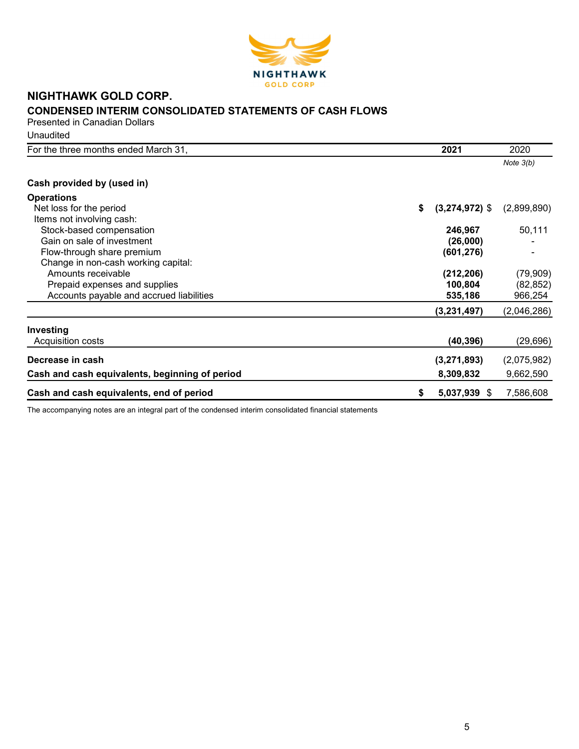

# NIGHTHAWK GOLD CORP. CONDENSED INTERIM CONSOLIDATED STATEMENTS OF CASH FLOWS Presented in Canadian Dollars

**Unaudited** 

| For the three months ended March 31,           | 2021                   | 2020        |
|------------------------------------------------|------------------------|-------------|
|                                                |                        | Note $3(b)$ |
| Cash provided by (used in)                     |                        |             |
| <b>Operations</b>                              |                        |             |
| Net loss for the period                        | \$<br>$(3,274,972)$ \$ | (2,899,890) |
| Items not involving cash:                      |                        |             |
| Stock-based compensation                       | 246,967                | 50,111      |
| Gain on sale of investment                     | (26,000)               |             |
| Flow-through share premium                     | (601, 276)             |             |
| Change in non-cash working capital:            |                        |             |
| Amounts receivable                             | (212, 206)             | (79, 909)   |
| Prepaid expenses and supplies                  | 100,804                | (82, 852)   |
| Accounts payable and accrued liabilities       | 535,186                | 966,254     |
|                                                | (3,231,497)            | (2,046,286) |
| Investing                                      |                        |             |
| Acquisition costs                              | (40, 396)              | (29, 696)   |
| Decrease in cash                               | (3,271,893)            | (2,075,982) |
| Cash and cash equivalents, beginning of period | 8,309,832              | 9,662,590   |
| Cash and cash equivalents, end of period       | \$<br>5,037,939 \$     | 7,586,608   |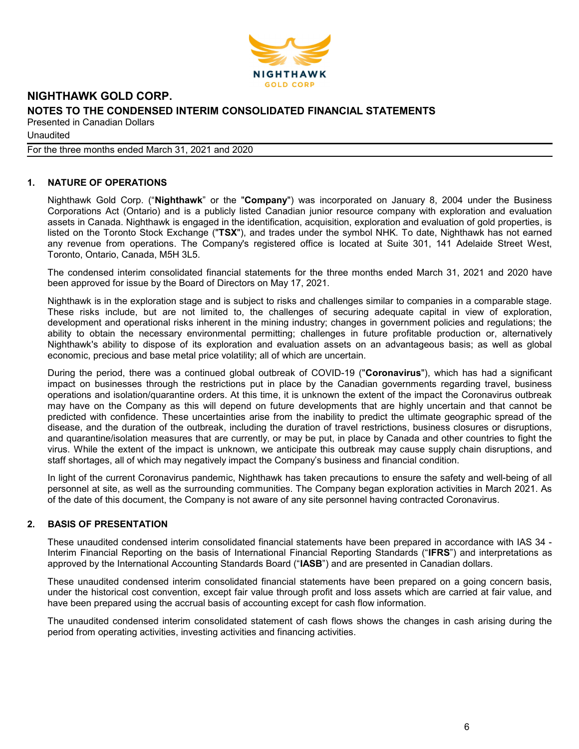

**Unaudited** 

For the three months ended March 31, 2021 and 2020

# 1. NATURE OF OPERATIONS

Nighthawk Gold Corp. ("Nighthawk" or the "Company") was incorporated on January 8, 2004 under the Business Corporations Act (Ontario) and is a publicly listed Canadian junior resource company with exploration and evaluation assets in Canada. Nighthawk is engaged in the identification, acquisition, exploration and evaluation of gold properties, is listed on the Toronto Stock Exchange ("TSX"), and trades under the symbol NHK. To date, Nighthawk has not earned any revenue from operations. The Company's registered office is located at Suite 301, 141 Adelaide Street West, Toronto, Ontario, Canada, M5H 3L5.

The condensed interim consolidated financial statements for the three months ended March 31, 2021 and 2020 have been approved for issue by the Board of Directors on May 17, 2021.

Nighthawk is in the exploration stage and is subject to risks and challenges similar to companies in a comparable stage. These risks include, but are not limited to, the challenges of securing adequate capital in view of exploration, development and operational risks inherent in the mining industry; changes in government policies and regulations; the ability to obtain the necessary environmental permitting; challenges in future profitable production or, alternatively Nighthawk's ability to dispose of its exploration and evaluation assets on an advantageous basis; as well as global economic, precious and base metal price volatility; all of which are uncertain.

During the period, there was a continued global outbreak of COVID-19 ("Coronavirus"), which has had a significant impact on businesses through the restrictions put in place by the Canadian governments regarding travel, business operations and isolation/quarantine orders. At this time, it is unknown the extent of the impact the Coronavirus outbreak may have on the Company as this will depend on future developments that are highly uncertain and that cannot be predicted with confidence. These uncertainties arise from the inability to predict the ultimate geographic spread of the disease, and the duration of the outbreak, including the duration of travel restrictions, business closures or disruptions, and quarantine/isolation measures that are currently, or may be put, in place by Canada and other countries to fight the virus. While the extent of the impact is unknown, we anticipate this outbreak may cause supply chain disruptions, and staff shortages, all of which may negatively impact the Company's business and financial condition.

In light of the current Coronavirus pandemic, Nighthawk has taken precautions to ensure the safety and well-being of all personnel at site, as well as the surrounding communities. The Company began exploration activities in March 2021. As of the date of this document, the Company is not aware of any site personnel having contracted Coronavirus.

# 2. BASIS OF PRESENTATION

These unaudited condensed interim consolidated financial statements have been prepared in accordance with IAS 34 - Interim Financial Reporting on the basis of International Financial Reporting Standards ("IFRS") and interpretations as approved by the International Accounting Standards Board ("IASB") and are presented in Canadian dollars.

These unaudited condensed interim consolidated financial statements have been prepared on a going concern basis, under the historical cost convention, except fair value through profit and loss assets which are carried at fair value, and have been prepared using the accrual basis of accounting except for cash flow information.

The unaudited condensed interim consolidated statement of cash flows shows the changes in cash arising during the period from operating activities, investing activities and financing activities.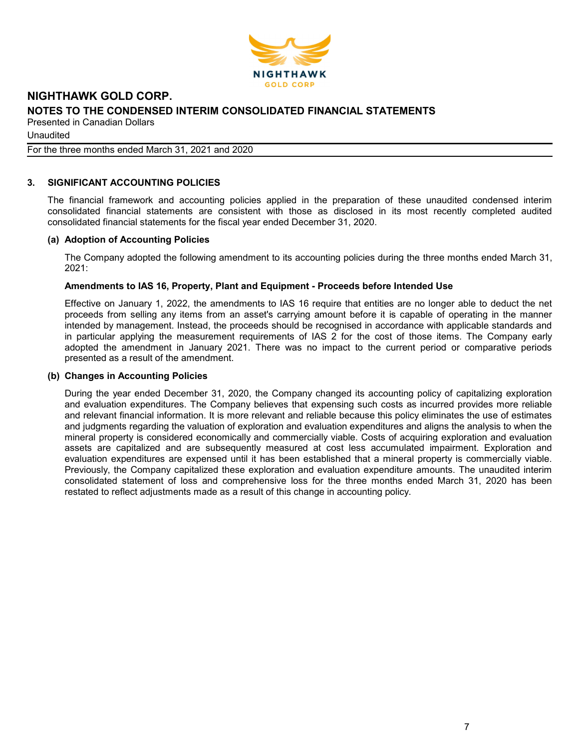

Unaudited

For the three months ended March 31, 2021 and 2020

# 3. SIGNIFICANT ACCOUNTING POLICIES

The financial framework and accounting policies applied in the preparation of these unaudited condensed interim consolidated financial statements are consistent with those as disclosed in its most recently completed audited consolidated financial statements for the fiscal year ended December 31, 2020.

### (a) Adoption of Accounting Policies

The Company adopted the following amendment to its accounting policies during the three months ended March 31, 2021:

## Amendments to IAS 16, Property, Plant and Equipment - Proceeds before Intended Use

Effective on January 1, 2022, the amendments to IAS 16 require that entities are no longer able to deduct the net proceeds from selling any items from an asset's carrying amount before it is capable of operating in the manner intended by management. Instead, the proceeds should be recognised in accordance with applicable standards and in particular applying the measurement requirements of IAS 2 for the cost of those items. The Company early adopted the amendment in January 2021. There was no impact to the current period or comparative periods presented as a result of the amendment.

### (b) Changes in Accounting Policies

During the year ended December 31, 2020, the Company changed its accounting policy of capitalizing exploration and evaluation expenditures. The Company believes that expensing such costs as incurred provides more reliable and relevant financial information. It is more relevant and reliable because this policy eliminates the use of estimates and judgments regarding the valuation of exploration and evaluation expenditures and aligns the analysis to when the mineral property is considered economically and commercially viable. Costs of acquiring exploration and evaluation assets are capitalized and are subsequently measured at cost less accumulated impairment. Exploration and evaluation expenditures are expensed until it has been established that a mineral property is commercially viable. Previously, the Company capitalized these exploration and evaluation expenditure amounts. The unaudited interim consolidated statement of loss and comprehensive loss for the three months ended March 31, 2020 has been restated to reflect adjustments made as a result of this change in accounting policy.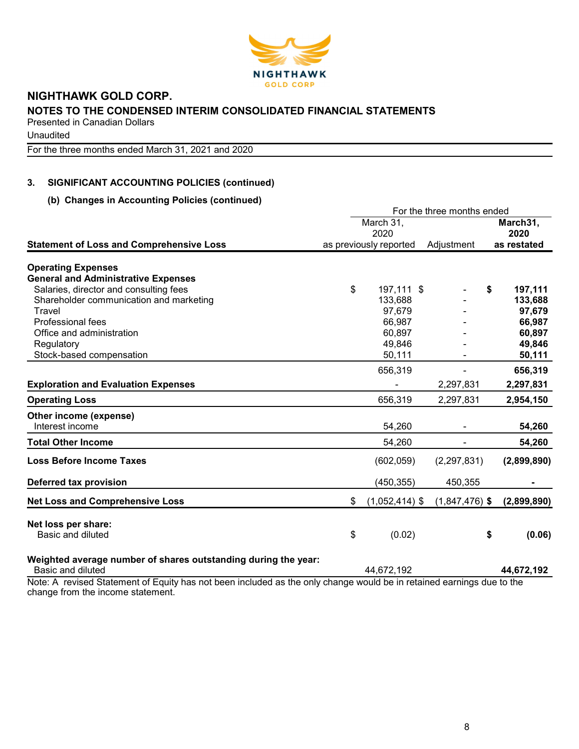

Unaudited

For the three months ended March 31, 2021 and 2020

# 3. SIGNIFICANT ACCOUNTING POLICIES (continued)

# (b) Changes in Accounting Policies (continued)

|                                                                                                                       |    |                        | For the three months ended |    |                  |  |
|-----------------------------------------------------------------------------------------------------------------------|----|------------------------|----------------------------|----|------------------|--|
|                                                                                                                       |    | March 31,<br>2020      |                            |    | March31,<br>2020 |  |
| <b>Statement of Loss and Comprehensive Loss</b>                                                                       |    | as previously reported | Adjustment                 |    | as restated      |  |
| <b>Operating Expenses</b>                                                                                             |    |                        |                            |    |                  |  |
| <b>General and Administrative Expenses</b>                                                                            |    |                        |                            |    |                  |  |
| Salaries, director and consulting fees                                                                                | \$ | 197,111 \$             |                            | \$ | 197,111          |  |
| Shareholder communication and marketing                                                                               |    | 133,688                |                            |    | 133,688          |  |
| Travel                                                                                                                |    | 97,679                 |                            |    | 97,679           |  |
| Professional fees                                                                                                     |    | 66,987                 |                            |    | 66,987           |  |
| Office and administration                                                                                             |    | 60,897                 |                            |    | 60,897           |  |
| Regulatory                                                                                                            |    | 49,846                 |                            |    | 49,846           |  |
| Stock-based compensation                                                                                              |    | 50,111                 |                            |    | 50,111           |  |
|                                                                                                                       |    | 656,319                |                            |    | 656,319          |  |
| <b>Exploration and Evaluation Expenses</b>                                                                            |    |                        | 2,297,831                  |    | 2,297,831        |  |
| <b>Operating Loss</b>                                                                                                 |    | 656,319                | 2,297,831                  |    | 2,954,150        |  |
| Other income (expense)                                                                                                |    |                        |                            |    |                  |  |
| Interest income                                                                                                       |    | 54,260                 |                            |    | 54,260           |  |
| <b>Total Other Income</b>                                                                                             |    | 54,260                 | ۰                          |    | 54,260           |  |
| <b>Loss Before Income Taxes</b>                                                                                       |    | (602, 059)             | (2, 297, 831)              |    | (2,899,890)      |  |
| Deferred tax provision                                                                                                |    | (450, 355)             | 450,355                    |    |                  |  |
| <b>Net Loss and Comprehensive Loss</b>                                                                                | \$ | $(1,052,414)$ \$       | $(1,847,476)$ \$           |    | (2,899,890)      |  |
| Net loss per share:                                                                                                   |    |                        |                            |    |                  |  |
| Basic and diluted                                                                                                     | \$ | (0.02)                 |                            | \$ | (0.06)           |  |
| Weighted average number of shares outstanding during the year:                                                        |    |                        |                            |    |                  |  |
| Basic and diluted                                                                                                     |    | 44,672,192             |                            |    | 44,672,192       |  |
| Note: A revised Statement of Equity has not been included as the only change would be in retained earnings due to the |    |                        |                            |    |                  |  |

change from the income statement.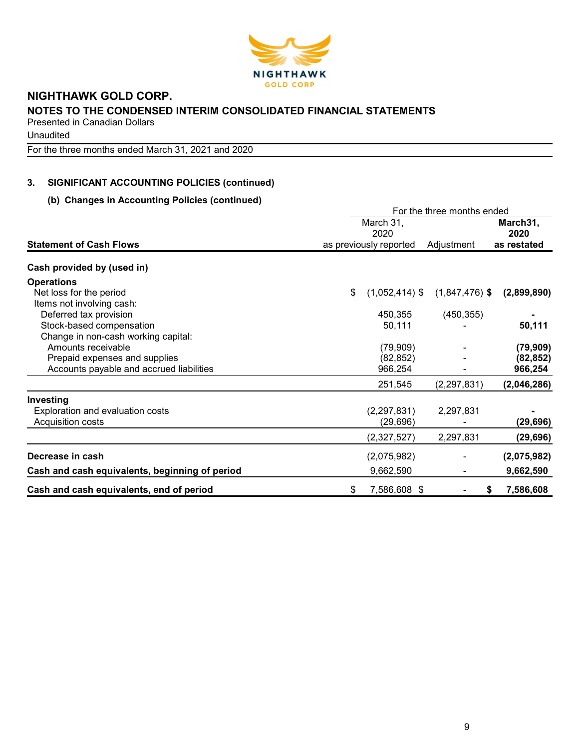

**Unaudited** 

For the three months ended March 31, 2021 and 2020

# 3. SIGNIFICANT ACCOUNTING POLICIES (continued)

# (b) Changes in Accounting Policies (continued)

|                                                | For the three months ended |                        |                  |                  |  |
|------------------------------------------------|----------------------------|------------------------|------------------|------------------|--|
|                                                |                            | March 31,<br>2020      |                  | March31,<br>2020 |  |
| <b>Statement of Cash Flows</b>                 |                            | as previously reported | Adjustment       | as restated      |  |
| Cash provided by (used in)                     |                            |                        |                  |                  |  |
| <b>Operations</b>                              |                            |                        |                  |                  |  |
| Net loss for the period                        | \$                         | $(1,052,414)$ \$       | $(1,847,476)$ \$ | (2,899,890)      |  |
| Items not involving cash:                      |                            |                        |                  |                  |  |
| Deferred tax provision                         |                            | 450,355                | (450, 355)       |                  |  |
| Stock-based compensation                       |                            | 50,111                 |                  | 50,111           |  |
| Change in non-cash working capital:            |                            |                        |                  |                  |  |
| Amounts receivable                             |                            | (79,909)               |                  | (79, 909)        |  |
| Prepaid expenses and supplies                  |                            | (82, 852)              |                  | (82, 852)        |  |
| Accounts payable and accrued liabilities       |                            | 966,254                |                  | 966,254          |  |
|                                                |                            | 251,545                | (2, 297, 831)    | (2,046,286)      |  |
| Investing                                      |                            |                        |                  |                  |  |
| Exploration and evaluation costs               |                            | (2, 297, 831)          | 2,297,831        |                  |  |
| Acquisition costs                              |                            | (29, 696)              |                  | (29, 696)        |  |
|                                                |                            | (2,327,527)            | 2,297,831        | (29, 696)        |  |
| Decrease in cash                               |                            | (2,075,982)            |                  | (2,075,982)      |  |
| Cash and cash equivalents, beginning of period |                            | 9,662,590              |                  | 9,662,590        |  |
| Cash and cash equivalents, end of period       | \$                         | 7,586,608 \$           | \$               | 7,586,608        |  |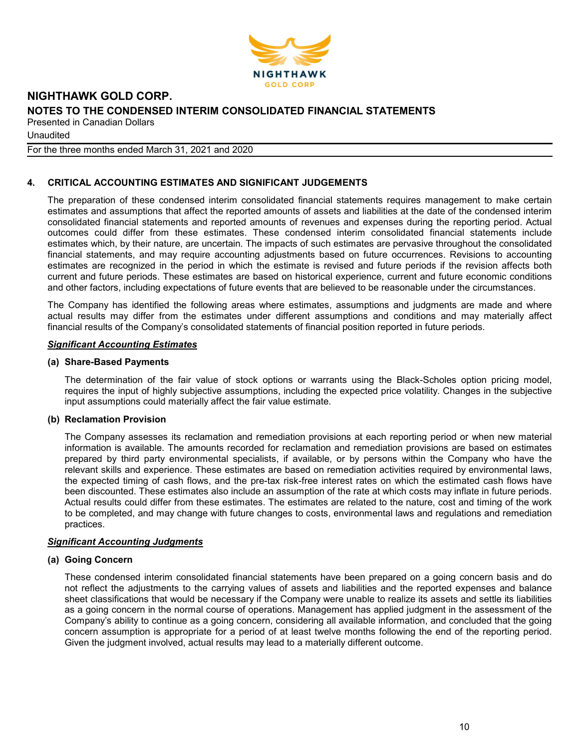

**Unaudited** 

For the three months ended March 31, 2021 and 2020

# 4. CRITICAL ACCOUNTING ESTIMATES AND SIGNIFICANT JUDGEMENTS

The preparation of these condensed interim consolidated financial statements requires management to make certain estimates and assumptions that affect the reported amounts of assets and liabilities at the date of the condensed interim consolidated financial statements and reported amounts of revenues and expenses during the reporting period. Actual outcomes could differ from these estimates. These condensed interim consolidated financial statements include estimates which, by their nature, are uncertain. The impacts of such estimates are pervasive throughout the consolidated financial statements, and may require accounting adjustments based on future occurrences. Revisions to accounting estimates are recognized in the period in which the estimate is revised and future periods if the revision affects both current and future periods. These estimates are based on historical experience, current and future economic conditions and other factors, including expectations of future events that are believed to be reasonable under the circumstances.

The Company has identified the following areas where estimates, assumptions and judgments are made and where actual results may differ from the estimates under different assumptions and conditions and may materially affect financial results of the Company's consolidated statements of financial position reported in future periods.

### Significant Accounting Estimates

### (a) Share-Based Payments

The determination of the fair value of stock options or warrants using the Black-Scholes option pricing model, requires the input of highly subjective assumptions, including the expected price volatility. Changes in the subjective input assumptions could materially affect the fair value estimate.

### (b) Reclamation Provision

The Company assesses its reclamation and remediation provisions at each reporting period or when new material information is available. The amounts recorded for reclamation and remediation provisions are based on estimates prepared by third party environmental specialists, if available, or by persons within the Company who have the relevant skills and experience. These estimates are based on remediation activities required by environmental laws, the expected timing of cash flows, and the pre-tax risk-free interest rates on which the estimated cash flows have been discounted. These estimates also include an assumption of the rate at which costs may inflate in future periods. Actual results could differ from these estimates. The estimates are related to the nature, cost and timing of the work to be completed, and may change with future changes to costs, environmental laws and regulations and remediation practices.

### Significant Accounting Judgments

### (a) Going Concern

These condensed interim consolidated financial statements have been prepared on a going concern basis and do not reflect the adjustments to the carrying values of assets and liabilities and the reported expenses and balance sheet classifications that would be necessary if the Company were unable to realize its assets and settle its liabilities as a going concern in the normal course of operations. Management has applied judgment in the assessment of the Company's ability to continue as a going concern, considering all available information, and concluded that the going concern assumption is appropriate for a period of at least twelve months following the end of the reporting period. Given the judgment involved, actual results may lead to a materially different outcome.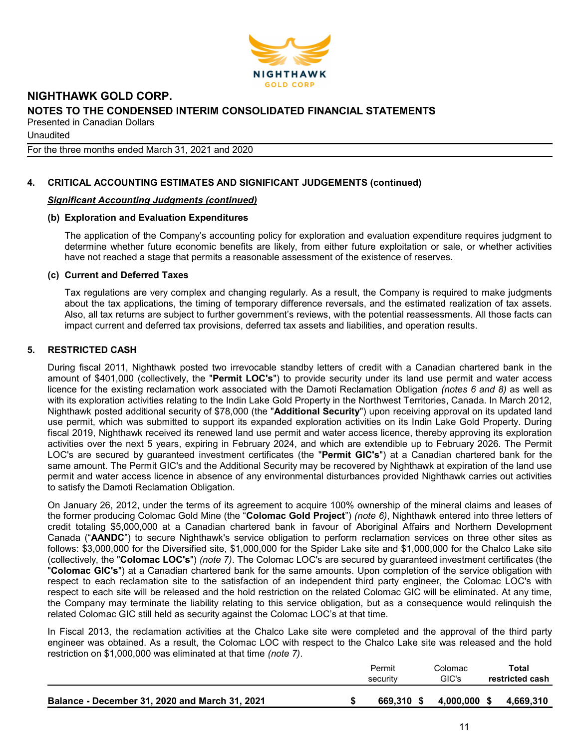

**Unaudited** 

For the three months ended March 31, 2021 and 2020

# 4. CRITICAL ACCOUNTING ESTIMATES AND SIGNIFICANT JUDGEMENTS (continued)

### Significant Accounting Judgments (continued)

### (b) Exploration and Evaluation Expenditures

The application of the Company's accounting policy for exploration and evaluation expenditure requires judgment to determine whether future economic benefits are likely, from either future exploitation or sale, or whether activities have not reached a stage that permits a reasonable assessment of the existence of reserves.

### (c) Current and Deferred Taxes

Tax regulations are very complex and changing regularly. As a result, the Company is required to make judgments about the tax applications, the timing of temporary difference reversals, and the estimated realization of tax assets. Also, all tax returns are subject to further government's reviews, with the potential reassessments. All those facts can impact current and deferred tax provisions, deferred tax assets and liabilities, and operation results.

# 5. RESTRICTED CASH

During fiscal 2011, Nighthawk posted two irrevocable standby letters of credit with a Canadian chartered bank in the amount of \$401,000 (collectively, the "Permit LOC's") to provide security under its land use permit and water access licence for the existing reclamation work associated with the Damoti Reclamation Obligation (notes 6 and 8) as well as with its exploration activities relating to the Indin Lake Gold Property in the Northwest Territories, Canada. In March 2012, Nighthawk posted additional security of \$78,000 (the "Additional Security") upon receiving approval on its updated land use permit, which was submitted to support its expanded exploration activities on its Indin Lake Gold Property. During fiscal 2019, Nighthawk received its renewed land use permit and water access licence, thereby approving its exploration activities over the next 5 years, expiring in February 2024, and which are extendible up to February 2026. The Permit LOC's are secured by guaranteed investment certificates (the "Permit GIC's") at a Canadian chartered bank for the same amount. The Permit GIC's and the Additional Security may be recovered by Nighthawk at expiration of the land use permit and water access licence in absence of any environmental disturbances provided Nighthawk carries out activities to satisfy the Damoti Reclamation Obligation.

On January 26, 2012, under the terms of its agreement to acquire 100% ownership of the mineral claims and leases of the former producing Colomac Gold Mine (the "Colomac Gold Project") (note 6), Nighthawk entered into three letters of credit totaling \$5,000,000 at a Canadian chartered bank in favour of Aboriginal Affairs and Northern Development Canada ("AANDC") to secure Nighthawk's service obligation to perform reclamation services on three other sites as follows: \$3,000,000 for the Diversified site, \$1,000,000 for the Spider Lake site and \$1,000,000 for the Chalco Lake site (collectively, the "Colomac LOC's") (note 7). The Colomac LOC's are secured by guaranteed investment certificates (the "Colomac GIC's") at a Canadian chartered bank for the same amounts. Upon completion of the service obligation with respect to each reclamation site to the satisfaction of an independent third party engineer, the Colomac LOC's with respect to each site will be released and the hold restriction on the related Colomac GIC will be eliminated. At any time, the Company may terminate the liability relating to this service obligation, but as a consequence would relinquish the related Colomac GIC still held as security against the Colomac LOC's at that time.

In Fiscal 2013, the reclamation activities at the Chalco Lake site were completed and the approval of the third party engineer was obtained. As a result, the Colomac LOC with respect to the Chalco Lake site was released and the hold restriction on \$1,000,000 was eliminated at that time (note 7).

|                                                | Permit<br>security | Colomac<br>GIC's | Total<br>restricted cash |
|------------------------------------------------|--------------------|------------------|--------------------------|
| Balance - December 31, 2020 and March 31, 2021 | 669.310 \$         | 4,000,000        | 4.669.310<br>-S          |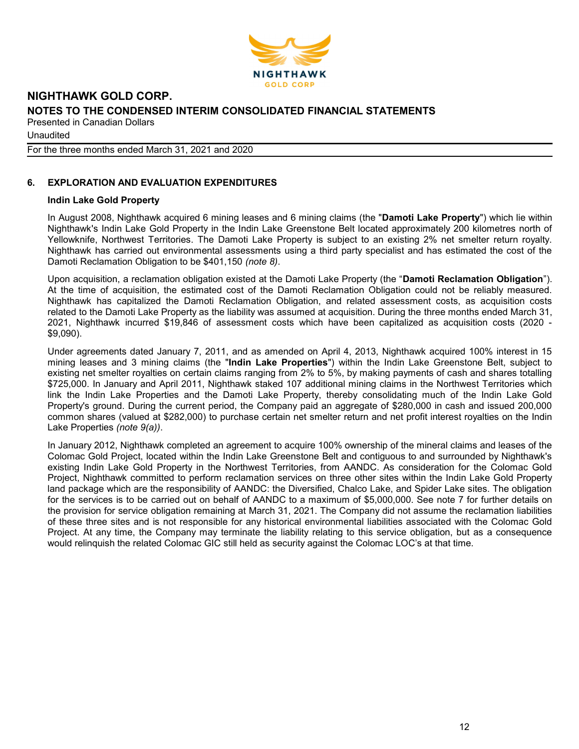

**Unaudited** 

For the three months ended March 31, 2021 and 2020

# 6. EXPLORATION AND EVALUATION EXPENDITURES

### Indin Lake Gold Property

In August 2008, Nighthawk acquired 6 mining leases and 6 mining claims (the "Damoti Lake Property") which lie within Nighthawk's Indin Lake Gold Property in the Indin Lake Greenstone Belt located approximately 200 kilometres north of Yellowknife, Northwest Territories. The Damoti Lake Property is subject to an existing 2% net smelter return royalty. Nighthawk has carried out environmental assessments using a third party specialist and has estimated the cost of the Damoti Reclamation Obligation to be \$401,150 (note 8).

Upon acquisition, a reclamation obligation existed at the Damoti Lake Property (the "Damoti Reclamation Obligation"). At the time of acquisition, the estimated cost of the Damoti Reclamation Obligation could not be reliably measured. Nighthawk has capitalized the Damoti Reclamation Obligation, and related assessment costs, as acquisition costs related to the Damoti Lake Property as the liability was assumed at acquisition. During the three months ended March 31, 2021, Nighthawk incurred \$19,846 of assessment costs which have been capitalized as acquisition costs (2020 - \$9,090).

Under agreements dated January 7, 2011, and as amended on April 4, 2013, Nighthawk acquired 100% interest in 15 mining leases and 3 mining claims (the "Indin Lake Properties") within the Indin Lake Greenstone Belt, subject to existing net smelter royalties on certain claims ranging from 2% to 5%, by making payments of cash and shares totalling \$725,000. In January and April 2011, Nighthawk staked 107 additional mining claims in the Northwest Territories which link the Indin Lake Properties and the Damoti Lake Property, thereby consolidating much of the Indin Lake Gold Property's ground. During the current period, the Company paid an aggregate of \$280,000 in cash and issued 200,000 common shares (valued at \$282,000) to purchase certain net smelter return and net profit interest royalties on the Indin Lake Properties (note 9(a)).

In January 2012, Nighthawk completed an agreement to acquire 100% ownership of the mineral claims and leases of the Colomac Gold Project, located within the Indin Lake Greenstone Belt and contiguous to and surrounded by Nighthawk's existing Indin Lake Gold Property in the Northwest Territories, from AANDC. As consideration for the Colomac Gold Project, Nighthawk committed to perform reclamation services on three other sites within the Indin Lake Gold Property land package which are the responsibility of AANDC: the Diversified, Chalco Lake, and Spider Lake sites. The obligation for the services is to be carried out on behalf of AANDC to a maximum of \$5,000,000. See note 7 for further details on the provision for service obligation remaining at March 31, 2021. The Company did not assume the reclamation liabilities of these three sites and is not responsible for any historical environmental liabilities associated with the Colomac Gold Project. At any time, the Company may terminate the liability relating to this service obligation, but as a consequence would relinquish the related Colomac GIC still held as security against the Colomac LOC's at that time.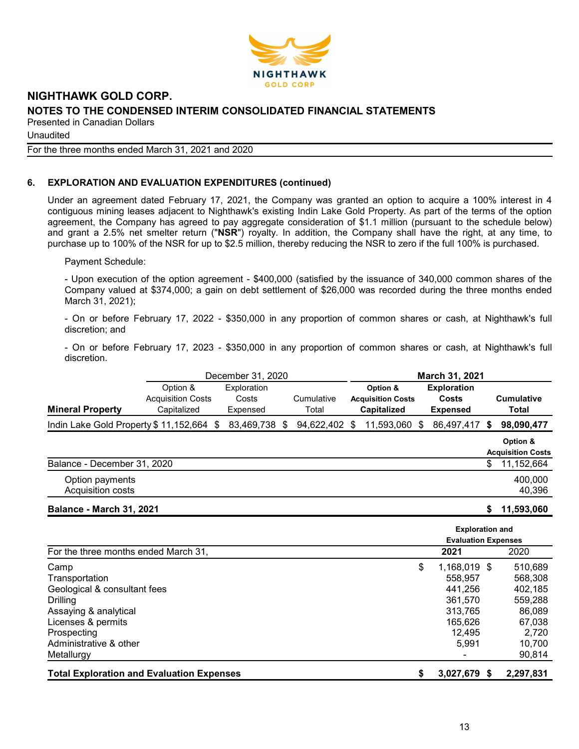

Unaudited

#### For the three months ended March 31, 2021 and 2020

# 6. EXPLORATION AND EVALUATION EXPENDITURES (continued)

Under an agreement dated February 17, 2021, the Company was granted an option to acquire a 100% interest in 4 contiguous mining leases adjacent to Nighthawk's existing Indin Lake Gold Property. As part of the terms of the option agreement, the Company has agreed to pay aggregate consideration of \$1.1 million (pursuant to the schedule below) and grant a 2.5% net smelter return ("NSR") royalty. In addition, the Company shall have the right, at any time, to purchase up to 100% of the NSR for up to \$2.5 million, thereby reducing the NSR to zero if the full 100% is purchased.

Payment Schedule:

- Upon execution of the option agreement - \$400,000 (satisfied by the issuance of 340,000 common shares of the Company valued at \$374,000; a gain on debt settlement of \$26,000 was recorded during the three months ended March 31, 2021);

- On or before February 17, 2022 - \$350,000 in any proportion of common shares or cash, at Nighthawk's full discretion; and

- On or before February 17, 2023 - \$350,000 in any proportion of common shares or cash, at Nighthawk's full discretion.

|                                       |                          | December 31, 2020 |     |            |   |                          |   | March 31, 2021     |                          |
|---------------------------------------|--------------------------|-------------------|-----|------------|---|--------------------------|---|--------------------|--------------------------|
|                                       | Option &                 | Exploration       |     |            |   | Option &                 |   | <b>Exploration</b> |                          |
|                                       | <b>Acquisition Costs</b> | Costs             |     | Cumulative |   | <b>Acquisition Costs</b> |   | Costs              | <b>Cumulative</b>        |
| <b>Mineral Property</b>               | Capitalized              | Expensed          |     | Total      |   | <b>Capitalized</b>       |   | <b>Expensed</b>    | Total                    |
| Indin Lake Gold Property \$11,152,664 | \$.                      | 83,469,738        | SS. | 94,622,402 | S | 11,593,060               | S | 86,497,417 \$      | 98,090,477               |
|                                       |                          |                   |     |            |   |                          |   |                    | Option &                 |
|                                       |                          |                   |     |            |   |                          |   |                    | <b>Acquisition Costs</b> |
| Balance - December 31, 2020           |                          |                   |     |            |   |                          |   |                    | \$<br>11,152,664         |
| Option payments                       |                          |                   |     |            |   |                          |   |                    | 400,000                  |
| Acquisition costs                     |                          |                   |     |            |   |                          |   |                    | 40,396                   |
|                                       |                          |                   |     |            |   |                          |   |                    |                          |

Balance - March 31, 2021 \$ 11,593,060

|                                                  | <b>Exploration and</b>     |              |           |  |  |  |
|--------------------------------------------------|----------------------------|--------------|-----------|--|--|--|
|                                                  | <b>Evaluation Expenses</b> |              |           |  |  |  |
| For the three months ended March 31,             |                            | 2021         | 2020      |  |  |  |
| Camp                                             | \$                         | 1,168,019 \$ | 510,689   |  |  |  |
| Transportation                                   |                            | 558,957      | 568,308   |  |  |  |
| Geological & consultant fees                     |                            | 441.256      | 402,185   |  |  |  |
| <b>Drilling</b>                                  |                            | 361.570      | 559,288   |  |  |  |
| Assaying & analytical                            |                            | 313.765      | 86,089    |  |  |  |
| Licenses & permits                               |                            | 165.626      | 67,038    |  |  |  |
| Prospecting                                      |                            | 12,495       | 2,720     |  |  |  |
| Administrative & other                           |                            | 5.991        | 10,700    |  |  |  |
| Metallurgy                                       |                            |              | 90,814    |  |  |  |
| <b>Total Exploration and Evaluation Expenses</b> |                            | 3,027,679 \$ | 2,297,831 |  |  |  |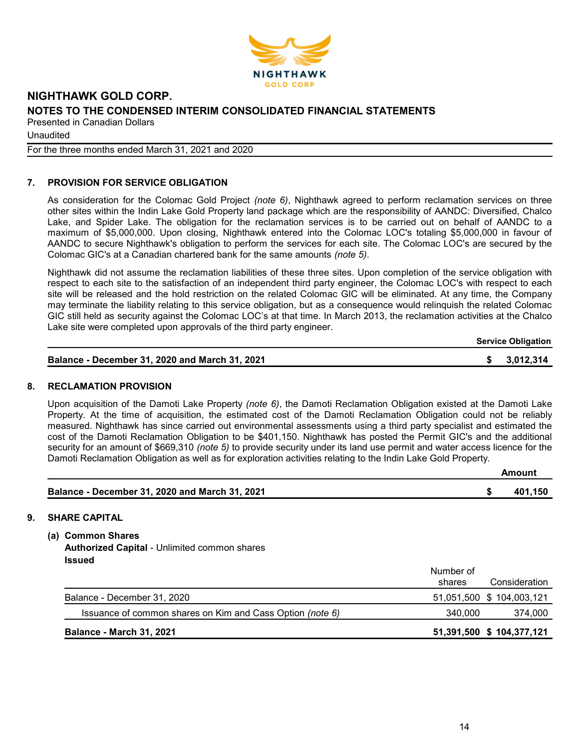

**Unaudited** 

For the three months ended March 31, 2021 and 2020

# 7. PROVISION FOR SERVICE OBLIGATION

As consideration for the Colomac Gold Project (note 6), Nighthawk agreed to perform reclamation services on three other sites within the Indin Lake Gold Property land package which are the responsibility of AANDC: Diversified, Chalco Lake, and Spider Lake. The obligation for the reclamation services is to be carried out on behalf of AANDC to a maximum of \$5,000,000. Upon closing, Nighthawk entered into the Colomac LOC's totaling \$5,000,000 in favour of AANDC to secure Nighthawk's obligation to perform the services for each site. The Colomac LOC's are secured by the Colomac GIC's at a Canadian chartered bank for the same amounts (note 5).

Nighthawk did not assume the reclamation liabilities of these three sites. Upon completion of the service obligation with respect to each site to the satisfaction of an independent third party engineer, the Colomac LOC's with respect to each site will be released and the hold restriction on the related Colomac GIC will be eliminated. At any time, the Company may terminate the liability relating to this service obligation, but as a consequence would relinquish the related Colomac GIC still held as security against the Colomac LOC's at that time. In March 2013, the reclamation activities at the Chalco Lake site were completed upon approvals of the third party engineer.

Service Obligation

|  | Balance - December 31, 2020 and March 31, 2021 |  | \$3,012,314 |
|--|------------------------------------------------|--|-------------|
|--|------------------------------------------------|--|-------------|

### 8. RECLAMATION PROVISION

Upon acquisition of the Damoti Lake Property (note 6), the Damoti Reclamation Obligation existed at the Damoti Lake Property. At the time of acquisition, the estimated cost of the Damoti Reclamation Obligation could not be reliably measured. Nighthawk has since carried out environmental assessments using a third party specialist and estimated the cost of the Damoti Reclamation Obligation to be \$401,150. Nighthawk has posted the Permit GIC's and the additional security for an amount of \$669,310 (note 5) to provide security under its land use permit and water access licence for the Damoti Reclamation Obligation as well as for exploration activities relating to the Indin Lake Gold Property.

|                                                | Amount  |
|------------------------------------------------|---------|
| Balance - December 31, 2020 and March 31, 2021 | 401.150 |

# 9. SHARE CAPITAL

(a) Common Shares

Authorized Capital - Unlimited common shares Issued

|                                                           | Number of |                           |
|-----------------------------------------------------------|-----------|---------------------------|
|                                                           | shares    | Consideration             |
| Balance - December 31, 2020                               |           | 51,051,500 \$ 104,003,121 |
| Issuance of common shares on Kim and Cass Option (note 6) | 340,000   | 374,000                   |
| <b>Balance - March 31, 2021</b>                           |           | 51,391,500 \$ 104,377,121 |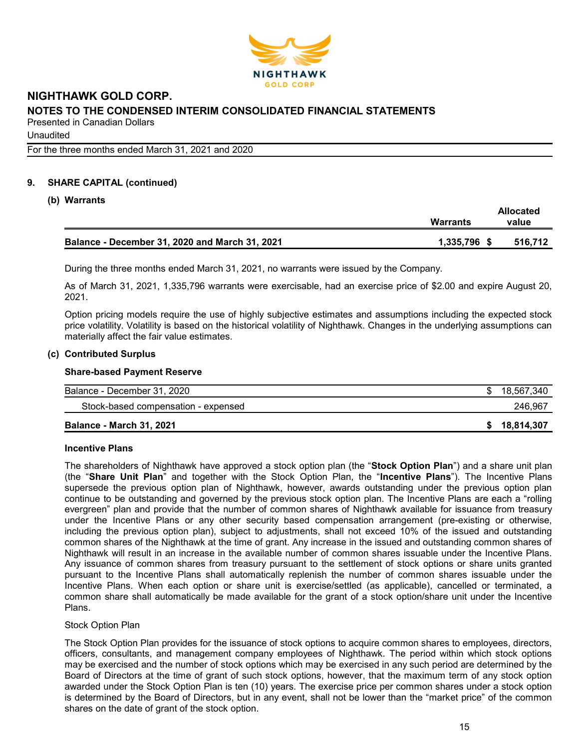

**Unaudited** 

For the three months ended March 31, 2021 and 2020

# 9. SHARE CAPITAL (continued)

### (b) Warrants

|                                                | Warrants     | <b>Allocated</b><br>value |
|------------------------------------------------|--------------|---------------------------|
| Balance - December 31, 2020 and March 31, 2021 | 1,335,796 \$ | 516.712                   |

During the three months ended March 31, 2021, no warrants were issued by the Company.

As of March 31, 2021, 1,335,796 warrants were exercisable, had an exercise price of \$2.00 and expire August 20, 2021.

Option pricing models require the use of highly subjective estimates and assumptions including the expected stock price volatility. Volatility is based on the historical volatility of Nighthawk. Changes in the underlying assumptions can materially affect the fair value estimates.

#### (c) Contributed Surplus

#### Share-based Payment Reserve

| Balance - December 31, 2020         | 18,567,340   |
|-------------------------------------|--------------|
| Stock-based compensation - expensed | 246.967      |
| <b>Balance - March 31, 2021</b>     | \$18,814,307 |

#### Incentive Plans

The shareholders of Nighthawk have approved a stock option plan (the "Stock Option Plan") and a share unit plan (the "Share Unit Plan" and together with the Stock Option Plan, the "Incentive Plans"). The Incentive Plans supersede the previous option plan of Nighthawk, however, awards outstanding under the previous option plan continue to be outstanding and governed by the previous stock option plan. The Incentive Plans are each a "rolling evergreen" plan and provide that the number of common shares of Nighthawk available for issuance from treasury under the Incentive Plans or any other security based compensation arrangement (pre-existing or otherwise, including the previous option plan), subject to adjustments, shall not exceed 10% of the issued and outstanding common shares of the Nighthawk at the time of grant. Any increase in the issued and outstanding common shares of Nighthawk will result in an increase in the available number of common shares issuable under the Incentive Plans. Any issuance of common shares from treasury pursuant to the settlement of stock options or share units granted pursuant to the Incentive Plans shall automatically replenish the number of common shares issuable under the Incentive Plans. When each option or share unit is exercise/settled (as applicable), cancelled or terminated, a common share shall automatically be made available for the grant of a stock option/share unit under the Incentive Plans.

#### Stock Option Plan

The Stock Option Plan provides for the issuance of stock options to acquire common shares to employees, directors, officers, consultants, and management company employees of Nighthawk. The period within which stock options may be exercised and the number of stock options which may be exercised in any such period are determined by the Board of Directors at the time of grant of such stock options, however, that the maximum term of any stock option awarded under the Stock Option Plan is ten (10) years. The exercise price per common shares under a stock option is determined by the Board of Directors, but in any event, shall not be lower than the "market price" of the common shares on the date of grant of the stock option.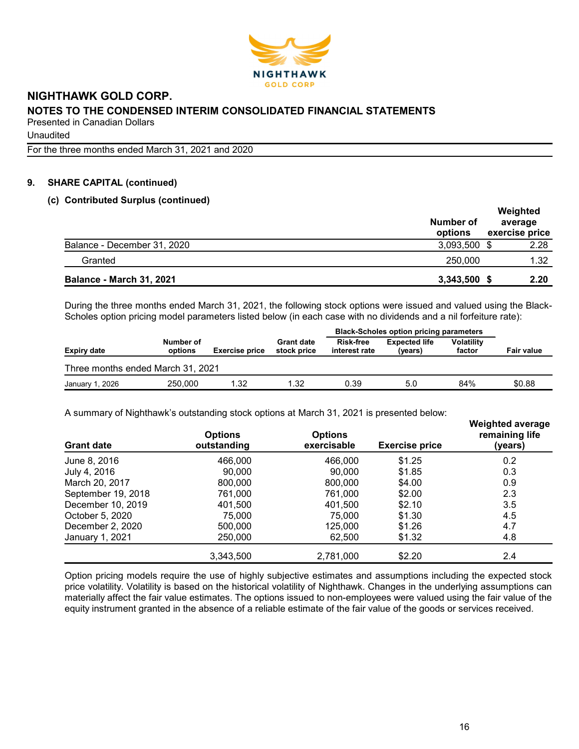

**Unaudited** 

For the three months ended March 31, 2021 and 2020

# 9. SHARE CAPITAL (continued)

### (c) Contributed Surplus (continued)

|                                 | Number of<br>options | Weighted<br>average<br>exercise price |
|---------------------------------|----------------------|---------------------------------------|
| Balance - December 31, 2020     | 3,093,500 \$         | 2.28                                  |
| Granted                         | 250,000              | 1.32                                  |
| <b>Balance - March 31, 2021</b> | 3,343,500 \$         | 2.20                                  |

During the three months ended March 31, 2021, the following stock options were issued and valued using the Black-Scholes option pricing model parameters listed below (in each case with no dividends and a nil forfeiture rate):

|                                   |                      |                       |                                  | <b>Black-Scholes option pricing parameters</b> |                                 |                             |                   |  |  |  |  |  |  |
|-----------------------------------|----------------------|-----------------------|----------------------------------|------------------------------------------------|---------------------------------|-----------------------------|-------------------|--|--|--|--|--|--|
| Expiry date                       | Number of<br>options | <b>Exercise price</b> | <b>Grant date</b><br>stock price | <b>Risk-free</b><br>interest rate              | <b>Expected life</b><br>(years) | <b>Volatility</b><br>factor | <b>Fair value</b> |  |  |  |  |  |  |
| Three months ended March 31, 2021 |                      |                       |                                  |                                                |                                 |                             |                   |  |  |  |  |  |  |
| January 1, 2026                   | 250,000              | 1.32                  | 1.32                             | 0.39                                           | 5.0                             | 84%                         | \$0.88            |  |  |  |  |  |  |

A summary of Nighthawk's outstanding stock options at March 31, 2021 is presented below:

| $\ldots$ community of infiguration of outchoing of the control of the case in $\sigma$ is the coordinate polonic<br><b>Grant date</b> | <b>Options</b><br>outstanding | <b>Options</b><br>exercisable | <b>Exercise price</b> | <b>Weighted average</b><br>remaining life<br>(years) |
|---------------------------------------------------------------------------------------------------------------------------------------|-------------------------------|-------------------------------|-----------------------|------------------------------------------------------|
| June 8, 2016                                                                                                                          | 466,000                       | 466,000                       | \$1.25                | 0.2                                                  |
| July 4, 2016                                                                                                                          | 90.000                        | 90.000                        | \$1.85                | 0.3                                                  |
| March 20, 2017                                                                                                                        | 800,000                       | 800,000                       | \$4.00                | 0.9                                                  |
| September 19, 2018                                                                                                                    | 761,000                       | 761.000                       | \$2.00                | 2.3                                                  |
| December 10, 2019                                                                                                                     | 401,500                       | 401,500                       | \$2.10                | 3.5                                                  |
| October 5, 2020                                                                                                                       | 75,000                        | 75.000                        | \$1.30                | 4.5                                                  |
| December 2, 2020                                                                                                                      | 500,000                       | 125.000                       | \$1.26                | 4.7                                                  |
| January 1, 2021                                                                                                                       | 250,000                       | 62,500                        | \$1.32                | 4.8                                                  |
|                                                                                                                                       | 3.343.500                     | 2,781,000                     | \$2.20                | 2.4                                                  |

Option pricing models require the use of highly subjective estimates and assumptions including the expected stock price volatility. Volatility is based on the historical volatility of Nighthawk. Changes in the underlying assumptions can materially affect the fair value estimates. The options issued to non-employees were valued using the fair value of the equity instrument granted in the absence of a reliable estimate of the fair value of the goods or services received.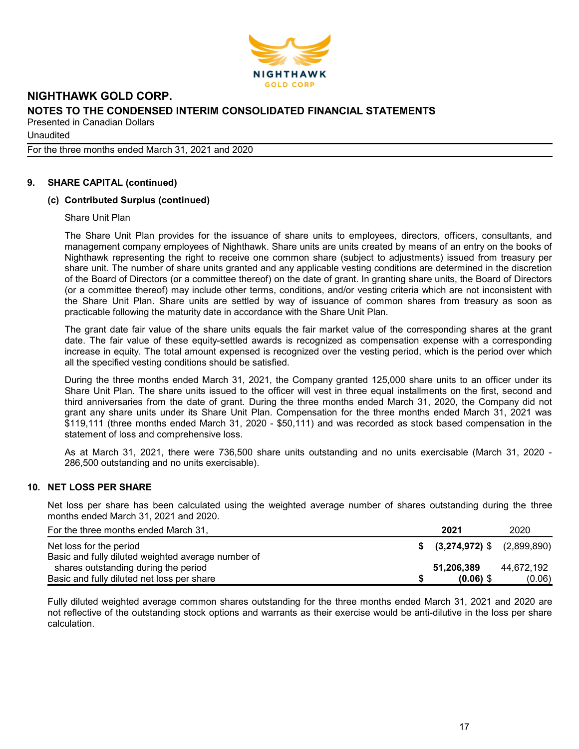

**Unaudited** 

For the three months ended March 31, 2021 and 2020

# 9. SHARE CAPITAL (continued)

### (c) Contributed Surplus (continued)

Share Unit Plan

The Share Unit Plan provides for the issuance of share units to employees, directors, officers, consultants, and management company employees of Nighthawk. Share units are units created by means of an entry on the books of Nighthawk representing the right to receive one common share (subject to adjustments) issued from treasury per share unit. The number of share units granted and any applicable vesting conditions are determined in the discretion of the Board of Directors (or a committee thereof) on the date of grant. In granting share units, the Board of Directors (or a committee thereof) may include other terms, conditions, and/or vesting criteria which are not inconsistent with the Share Unit Plan. Share units are settled by way of issuance of common shares from treasury as soon as practicable following the maturity date in accordance with the Share Unit Plan.

The grant date fair value of the share units equals the fair market value of the corresponding shares at the grant date. The fair value of these equity-settled awards is recognized as compensation expense with a corresponding increase in equity. The total amount expensed is recognized over the vesting period, which is the period over which all the specified vesting conditions should be satisfied.

During the three months ended March 31, 2021, the Company granted 125,000 share units to an officer under its Share Unit Plan. The share units issued to the officer will vest in three equal installments on the first, second and third anniversaries from the date of grant. During the three months ended March 31, 2020, the Company did not grant any share units under its Share Unit Plan. Compensation for the three months ended March 31, 2021 was \$119,111 (three months ended March 31, 2020 - \$50,111) and was recorded as stock based compensation in the statement of loss and comprehensive loss.

As at March 31, 2021, there were 736,500 share units outstanding and no units exercisable (March 31, 2020 - 286,500 outstanding and no units exercisable).

### 10. NET LOSS PER SHARE

Net loss per share has been calculated using the weighted average number of shares outstanding during the three months ended March 31, 2021 and 2020.

| For the three months ended March 31,               | 2021                           | 2020       |
|----------------------------------------------------|--------------------------------|------------|
| Net loss for the period                            | $$$ (3,274,972) \$ (2,899,890) |            |
| Basic and fully diluted weighted average number of |                                |            |
| shares outstanding during the period               | 51,206,389                     | 44.672.192 |
| Basic and fully diluted net loss per share         | $(0.06)$ \$                    | (0.06)     |

Fully diluted weighted average common shares outstanding for the three months ended March 31, 2021 and 2020 are not reflective of the outstanding stock options and warrants as their exercise would be anti-dilutive in the loss per share calculation.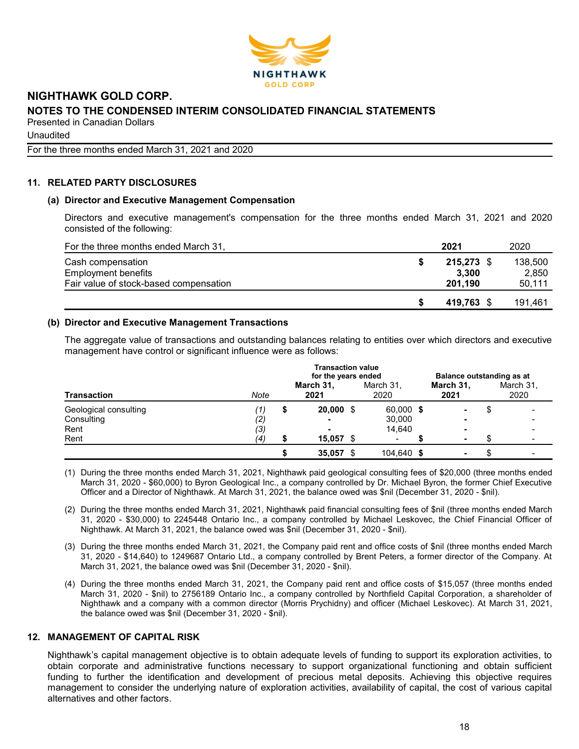

**Unaudited** 

For the three months ended March 31, 2021 and 2020

# 11. RELATED PARTY DISCLOSURES

### (a) Director and Executive Management Compensation

Directors and executive management's compensation for the three months ended March 31, 2021 and 2020 consisted of the following:

| For the three months ended March 31,   | 2021       | 2020    |
|----------------------------------------|------------|---------|
| Cash compensation                      | 215,273 \$ | 138,500 |
| <b>Employment benefits</b>             | 3.300      | 2.850   |
| Fair value of stock-based compensation | 201.190    | 50,111  |
|                                        | 419.763 \$ | 191,461 |

### (b) Director and Executive Management Transactions

The aggregate value of transactions and outstanding balances relating to entities over which directors and executive management have control or significant influence were as follows:

| <b>Transaction</b>    |      | Balance outstanding as at |                          |  |                   |   |                   |
|-----------------------|------|---------------------------|--------------------------|--|-------------------|---|-------------------|
|                       | Note | March 31,<br>2021         | March 31,<br>2020        |  | March 31,<br>2021 |   | March 31,<br>2020 |
| Geological consulting | (1)  | \$<br>$20,000$ \$         | 60,000 \$                |  |                   | J |                   |
| Consulting            | (2)  | $\blacksquare$            | 30,000                   |  | -                 |   |                   |
| Rent                  | (3)  | -                         | 14.640                   |  |                   |   |                   |
| Rent                  | (4)  | $15,057$ \$               | $\overline{\phantom{0}}$ |  |                   |   |                   |
|                       |      | 35,057                    | \$<br>104,640 \$         |  | ۰                 |   |                   |

(1) During the three months ended March 31, 2021, Nighthawk paid geological consulting fees of \$20,000 (three months ended March 31, 2020 - \$60,000) to Byron Geological Inc., a company controlled by Dr. Michael Byron, the former Chief Executive Officer and a Director of Nighthawk. At March 31, 2021, the balance owed was \$nil (December 31, 2020 - \$nil).

(2) During the three months ended March 31, 2021, Nighthawk paid financial consulting fees of \$nil (three months ended March 31, 2020 - \$30,000) to 2245448 Ontario Inc., a company controlled by Michael Leskovec, the Chief Financial Officer of Nighthawk. At March 31, 2021, the balance owed was \$nil (December 31, 2020 - \$nil).

- (3) During the three months ended March 31, 2021, the Company paid rent and office costs of \$nil (three months ended March 31, 2020 - \$14,640) to 1249687 Ontario Ltd., a company controlled by Brent Peters, a former director of the Company. At March 31, 2021, the balance owed was \$nil (December 31, 2020 - \$nil).
- (4) During the three months ended March 31, 2021, the Company paid rent and office costs of \$15,057 (three months ended March 31, 2020 - \$nil) to 2756189 Ontario Inc., a company controlled by Northfield Capital Corporation, a shareholder of Nighthawk and a company with a common director (Morris Prychidny) and officer (Michael Leskovec). At March 31, 2021, the balance owed was \$nil (December 31, 2020 - \$nil).

### 12. MANAGEMENT OF CAPITAL RISK

Nighthawk's capital management objective is to obtain adequate levels of funding to support its exploration activities, to obtain corporate and administrative functions necessary to support organizational functioning and obtain sufficient funding to further the identification and development of precious metal deposits. Achieving this objective requires management to consider the underlying nature of exploration activities, availability of capital, the cost of various capital alternatives and other factors.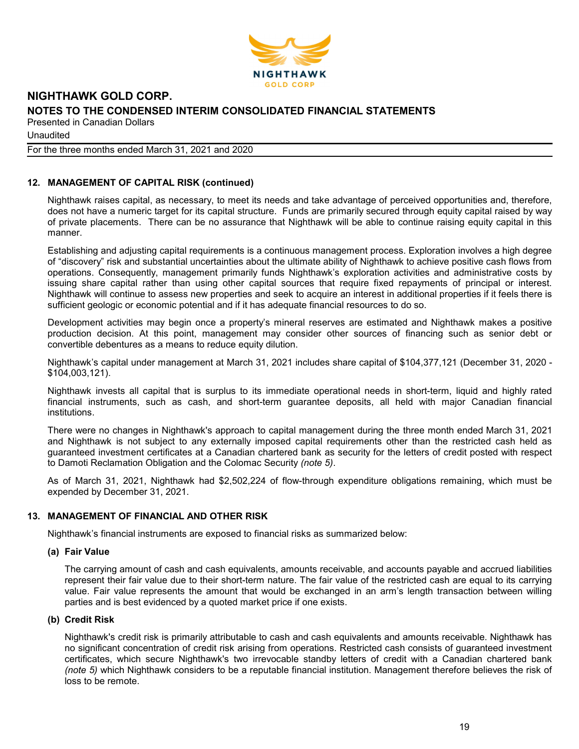

**Unaudited** 

For the three months ended March 31, 2021 and 2020

# 12. MANAGEMENT OF CAPITAL RISK (continued)

Nighthawk raises capital, as necessary, to meet its needs and take advantage of perceived opportunities and, therefore, does not have a numeric target for its capital structure. Funds are primarily secured through equity capital raised by way of private placements. There can be no assurance that Nighthawk will be able to continue raising equity capital in this manner.

Establishing and adjusting capital requirements is a continuous management process. Exploration involves a high degree of "discovery" risk and substantial uncertainties about the ultimate ability of Nighthawk to achieve positive cash flows from operations. Consequently, management primarily funds Nighthawk's exploration activities and administrative costs by issuing share capital rather than using other capital sources that require fixed repayments of principal or interest. Nighthawk will continue to assess new properties and seek to acquire an interest in additional properties if it feels there is sufficient geologic or economic potential and if it has adequate financial resources to do so.

Development activities may begin once a property's mineral reserves are estimated and Nighthawk makes a positive production decision. At this point, management may consider other sources of financing such as senior debt or convertible debentures as a means to reduce equity dilution.

Nighthawk's capital under management at March 31, 2021 includes share capital of \$104,377,121 (December 31, 2020 - \$104,003,121).

Nighthawk invests all capital that is surplus to its immediate operational needs in short-term, liquid and highly rated financial instruments, such as cash, and short-term guarantee deposits, all held with major Canadian financial institutions.

There were no changes in Nighthawk's approach to capital management during the three month ended March 31, 2021 and Nighthawk is not subject to any externally imposed capital requirements other than the restricted cash held as guaranteed investment certificates at a Canadian chartered bank as security for the letters of credit posted with respect to Damoti Reclamation Obligation and the Colomac Security (note 5).

As of March 31, 2021, Nighthawk had \$2,502,224 of flow-through expenditure obligations remaining, which must be expended by December 31, 2021.

### 13. MANAGEMENT OF FINANCIAL AND OTHER RISK

Nighthawk's financial instruments are exposed to financial risks as summarized below:

### (a) Fair Value

The carrying amount of cash and cash equivalents, amounts receivable, and accounts payable and accrued liabilities represent their fair value due to their short-term nature. The fair value of the restricted cash are equal to its carrying value. Fair value represents the amount that would be exchanged in an arm's length transaction between willing parties and is best evidenced by a quoted market price if one exists.

### (b) Credit Risk

Nighthawk's credit risk is primarily attributable to cash and cash equivalents and amounts receivable. Nighthawk has no significant concentration of credit risk arising from operations. Restricted cash consists of guaranteed investment certificates, which secure Nighthawk's two irrevocable standby letters of credit with a Canadian chartered bank (note 5) which Nighthawk considers to be a reputable financial institution. Management therefore believes the risk of loss to be remote.